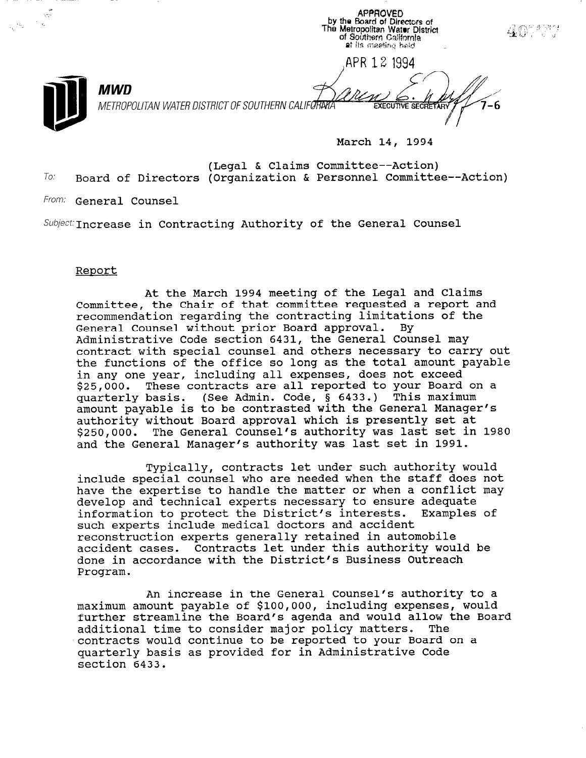APPROVED<br>by the Board of Directors of<br>The Metropolitan Water District  $\frac{1}{\sqrt{2}}$ 407533 of Southern California at its meeting held. ,APR 12 1994 MWD  $\mathcal{B}_{\text{A}}$ METROPOLITAN WATER DISTRICT OF SOUTHERN CALIFORDIAL CONTROLLED EXECUTIVE SECRETARY March 14, 1994

(Legal & Claims Committee--Action)  $To:$  Board of Directors (Organization & Personnel Committee--Action)

From: General Counsel

 $Subject:$  Increase in Contracting Authority of the General Counsel

## Report

At the March 1994 meeting of the Legal and Claims Committee, the Chair of that committee requested a report and recommendation regarding the contracting limitations of the General Counsel without prior Board approval. By Administrative Code section 6431, the General Counsel may contract with special counsel and others necessary to carry out the functions of the office so long as the total amount payable in any one year, including all expenses, does not exceed \$25,000. These contracts are all reported to your Board on a yzo,000. Inese concrucco are arr reported to jour board. quarterry bubis: (bee numin: eeue, , eree;, inis munimum<br>amount payable is to be contrasted with the General Manager authority without Board approval which is presently set at \$250,000. The General Counsel's authority was last set in 1980 and the General Manager's authority was last set in 1991.

Typically, contracts let under such authority would include special counsel who are needed when the staff does not have the expertise to handle the matter or when a conflict may develop and technical experts necessary to ensure adequate information to protect the District's interests. Examples of such experts include medical doctors and accident reconstruction experts generally retained in automobile accident cases. Contracts let under this authority would be dociuent cases. Contracts fet under this additional word Program.

An increase in the General Counsel's authority to a maximum amount payable of \$100,000, including expenses, would maximum amount payable of 5100,000, including expenses, would<br>Southan atmosphere the Board's agenda and would allow the Board further streamline the Board's agenda and would allow the Board<br>additional time to consider major policy matters. The additional time to consider major policy matters. The contracts would continue to be reported to your Board on a concracts would concinue to be reported to your board quarteriy pa: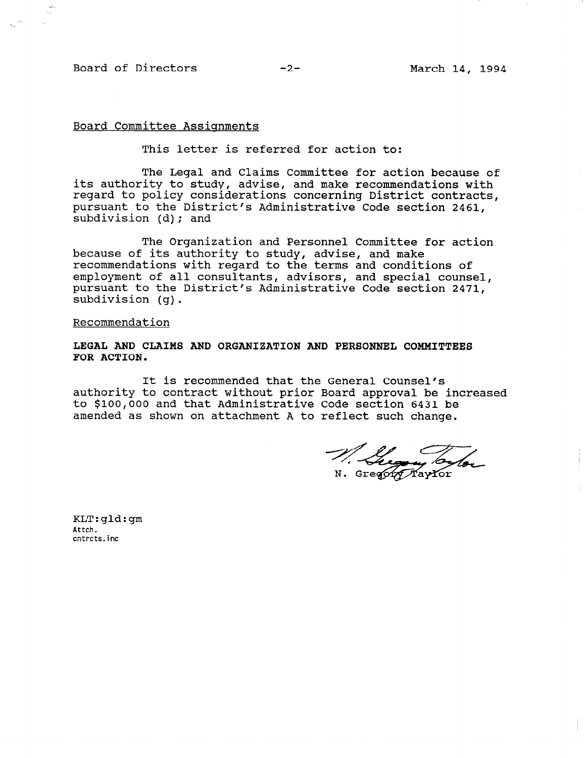# Board of Directors -2- March 14, 1994

# Board Committee Assignments

This letter is referred for action to:

The Legal and Claims Committee for action because of its authority to study, advise, and make recommendations with regard to policy considerations concerning District contracts, pursuant to the District's Administrative Code section 2461, subdivision (d); and

The Organization and Personnel Committee for action because of its authority to study, advise, and make recommendations with regard to the terms and conditions of employment of all consultants, advisors, and special counsel, pursuant to the District's Administrative Code section 2471, subdivision (g).

#### Recommendation

## LEGAL AND CLAIMS AND ORGANIZATION AND PERSONNEL COMMITTEES FOR ACTION.

It is recommended that the General Counsel's authority to contract without prior Board approval be increased to \$100,000 and that Administrative Code section 6431 be amended as shown on attachment A to reflect such change.

N. Gregory Taylor

KLT:gld:gm Attch. cntrcts.inc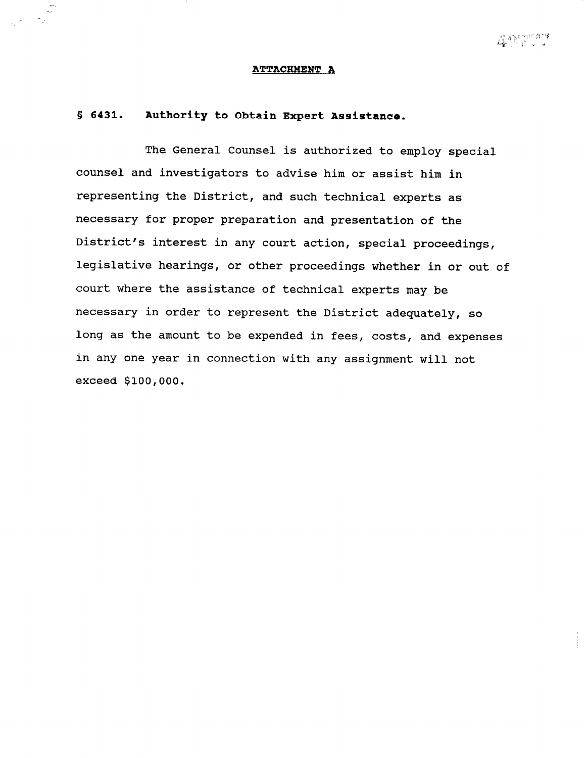#### ATTACHMENT A

# 8 6431. Authority to Obtain Expert Assistance.

The General Counsel is authorized to employ special counsel and investigators to advise him or assist him in representing the District, and such technical experts as necessary for proper preparation and presentation of the District's interest in any court action, special proceedings, legislative hearings, or other proceedings whether in or out of court where the assistance of technical experts may be necessary in order to represent the District adequately, so long as the amount to be expended in fees, costs, and expenses in any one year in connection with any assignment will not exceed \$100,000.